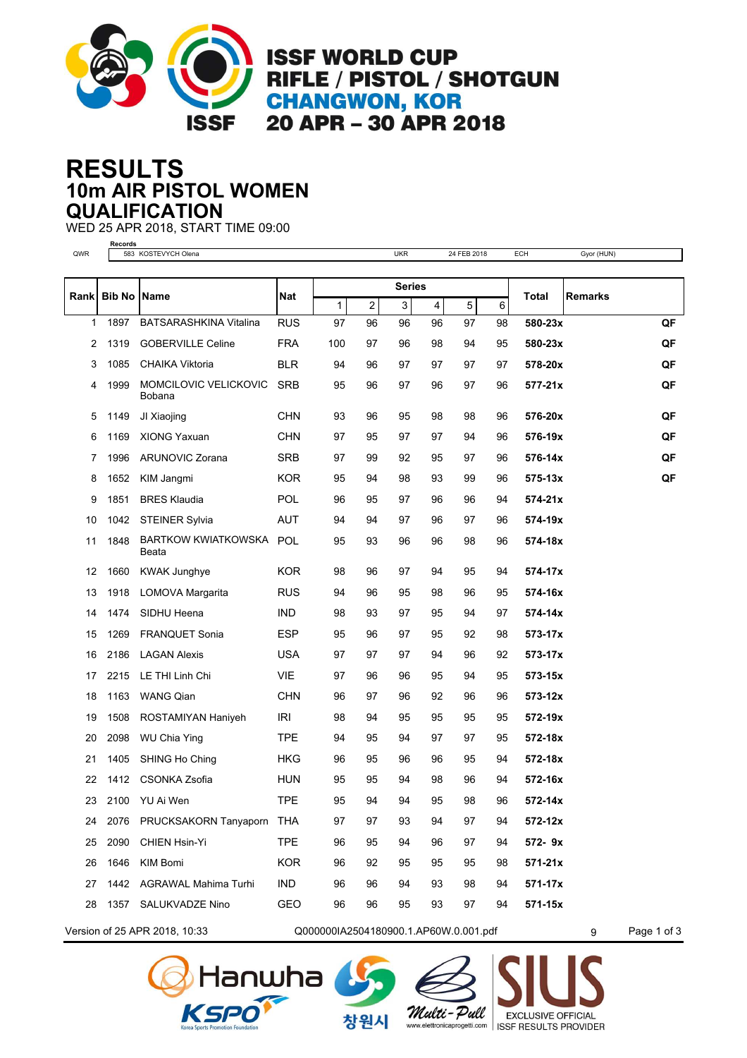

**ISSF WORLD CUP RIFLE / PISTOL / SHOTGUN CHANGWON, KOR** 20 APR - 30 APR 2018

## **10m AIR PISTOL WOMEN RESULTS QUALIFICATION**

WED 25 APR 2018, START TIME 09:00

**Records** QWR 583 KOSTEVYCH Olena **DECES AREA CHARGE CHARGE 2018** UKR 24 FEB 2018 ECH Gyor (HUN) **Bib No Name Nat Total Series** Rank **Rankal Bib No Name Rankal Bib No Name in the Remarks Remarks Remarks** 1 2 3 4 5 6 1897 BATSARASHKINA Vitalina RUS 97 96 96 96 97 98 **580-23x QF** 1319 GOBERVILLE Celine FRA 100 97 96 98 94 95 **580-23x QF** 1085 CHAIKA Viktoria BLR 94 96 97 97 97 97 **578-20x QF** MOMCILOVIC VELICKOVIC SRB **577-21x** 1999 95 96 97 96 97 96 **QF** Bobana 1149 JI Xiaojing CHN 93 96 95 98 98 96 **576-20x QF** 1169 XIONG Yaxuan CHN 97 95 97 97 94 96 **576-19x QF** 1996 ARUNOVIC Zorana SRB 97 99 92 95 97 96 **576-14x QF** 1652 KIM Jangmi KOR 95 94 98 93 99 96 **575-13x QF** 1851 BRES Klaudia POL 96 95 97 96 96 94 **574-21x** 1042 STEINER Sylvia AUT 94 94 97 96 97 96 **574-19x** BARTKOW KWIATKOWSKA POL **574-18x** 1848 95 93 96 96 98 96 Beata 1660 KWAK Junghye KOR 98 96 97 94 95 94 **574-17x** 1918 LOMOVA Margarita RUS 94 96 95 98 96 95 **574-16x** 1474 SIDHU Heena IND 98 93 97 95 94 97 **574-14x** 1269 FRANQUET Sonia ESP 95 96 97 95 92 98 **573-17x** 2186 LAGAN Alexis USA 97 97 97 94 96 92 **573-17x** 2215 LE THI Linh Chi VIE 97 96 96 95 94 95 **573-15x** 1163 WANG Qian CHN 96 97 96 92 96 96 **573-12x** 1508 ROSTAMIYAN Haniyeh IRI 98 94 95 95 95 95 **572-19x** 2098 WU Chia Ying TPE 94 95 94 97 97 95 **572-18x** 1405 SHING Ho Ching HKG 96 95 96 96 95 94 **572-18x** 1412 CSONKA Zsofia HUN 95 95 94 98 96 94 **572-16x** 2100 YU Ai Wen TPE 95 94 94 95 98 96 **572-14x** 2076 PRUCKSAKORN Tanyaporn THA 97 97 93 94 97 94 **572-12x** 2090 CHIEN Hsin-Yi TPE 96 95 94 96 97 94 **572- 9x** 1646 KIM Bomi KOR 96 92 95 95 95 98 **571-21x** 1442 AGRAWAL Mahima Turhi IND 96 96 94 93 98 94 **571-17x** 1357 SALUKVADZE Nino GEO 96 96 95 93 97 94 **571-15x**



Version of 25 APR 2018, 10:33  $Q00000001A2504180900.1$  AP60W.0.001.pdf 9 Page 1 of 3







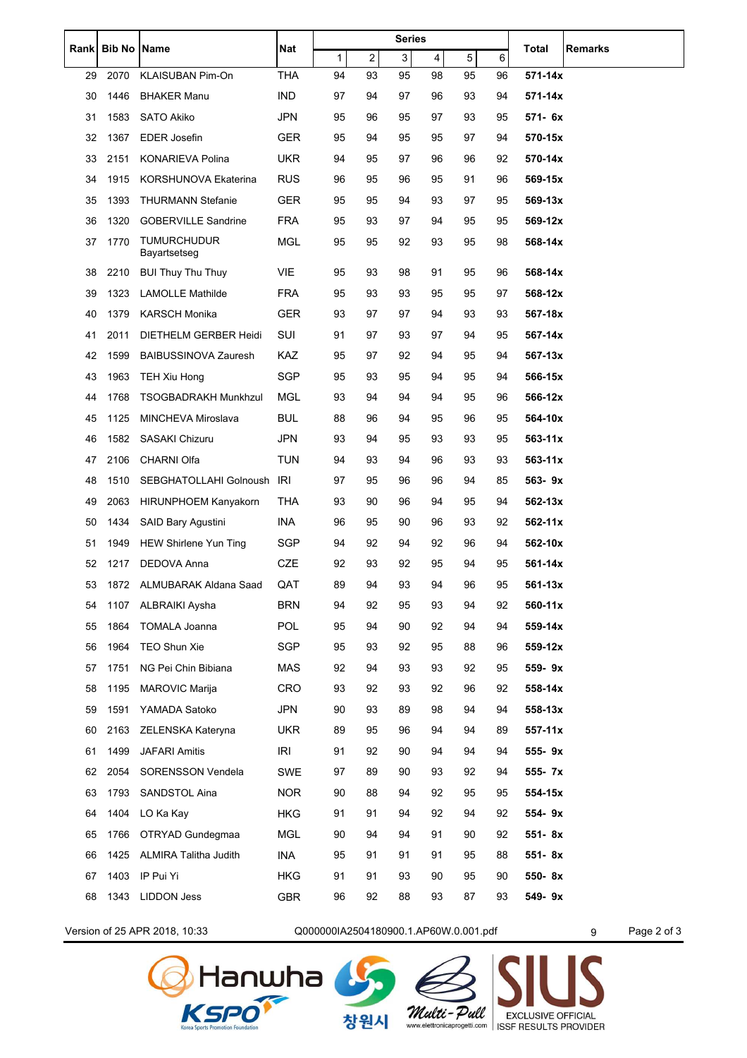| Rank | <b>Bib No</b> | Name                               | Nat        | <b>Series</b> |    |    |    |    |    | Total       | <b>Remarks</b> |
|------|---------------|------------------------------------|------------|---------------|----|----|----|----|----|-------------|----------------|
|      |               |                                    |            | 1             | 2  | 3  | 4  | 5  | 6  |             |                |
| 29   | 2070          | <b>KLAISUBAN Pim-On</b>            | <b>THA</b> | 94            | 93 | 95 | 98 | 95 | 96 | 571-14x     |                |
| 30   | 1446          | <b>BHAKER Manu</b>                 | IND        | 97            | 94 | 97 | 96 | 93 | 94 | 571-14x     |                |
| 31   | 1583          | SATO Akiko                         | JPN        | 95            | 96 | 95 | 97 | 93 | 95 | 571- 6x     |                |
| 32   | 1367          | <b>EDER Josefin</b>                | GER        | 95            | 94 | 95 | 95 | 97 | 94 | 570-15x     |                |
| 33   | 2151          | KONARIEVA Polina                   | <b>UKR</b> | 94            | 95 | 97 | 96 | 96 | 92 | 570-14x     |                |
| 34   | 1915          | KORSHUNOVA Ekaterina               | <b>RUS</b> | 96            | 95 | 96 | 95 | 91 | 96 | 569-15x     |                |
| 35   | 1393          | <b>THURMANN Stefanie</b>           | <b>GER</b> | 95            | 95 | 94 | 93 | 97 | 95 | 569-13x     |                |
| 36   | 1320          | <b>GOBERVILLE Sandrine</b>         | <b>FRA</b> | 95            | 93 | 97 | 94 | 95 | 95 | 569-12x     |                |
| 37   | 1770          | <b>TUMURCHUDUR</b><br>Bayartsetseg | <b>MGL</b> | 95            | 95 | 92 | 93 | 95 | 98 | 568-14x     |                |
| 38   | 2210          | <b>BUI Thuy Thu Thuy</b>           | VIE        | 95            | 93 | 98 | 91 | 95 | 96 | 568-14x     |                |
| 39   | 1323          | <b>LAMOLLE Mathilde</b>            | FRA        | 95            | 93 | 93 | 95 | 95 | 97 | 568-12x     |                |
| 40   | 1379          | <b>KARSCH Monika</b>               | GER        | 93            | 97 | 97 | 94 | 93 | 93 | 567-18x     |                |
| 41   | 2011          | <b>DIETHELM GERBER Heidi</b>       | SUI        | 91            | 97 | 93 | 97 | 94 | 95 | 567-14x     |                |
| 42   | 1599          | <b>BAIBUSSINOVA Zauresh</b>        | KAZ        | 95            | 97 | 92 | 94 | 95 | 94 | 567-13x     |                |
| 43   | 1963          | TEH Xiu Hong                       | <b>SGP</b> | 95            | 93 | 95 | 94 | 95 | 94 | 566-15x     |                |
| 44   | 1768          | <b>TSOGBADRAKH Munkhzul</b>        | <b>MGL</b> | 93            | 94 | 94 | 94 | 95 | 96 | 566-12x     |                |
| 45   | 1125          | <b>MINCHEVA Miroslava</b>          | <b>BUL</b> | 88            | 96 | 94 | 95 | 96 | 95 | 564-10x     |                |
| 46   | 1582          | <b>SASAKI Chizuru</b>              | <b>JPN</b> | 93            | 94 | 95 | 93 | 93 | 95 | 563-11x     |                |
| 47   | 2106          | <b>CHARNI Olfa</b>                 | TUN        | 94            | 93 | 94 | 96 | 93 | 93 | $563 - 11x$ |                |
| 48   | 1510          | SEBGHATOLLAHI Golnoush             | IRI        | 97            | 95 | 96 | 96 | 94 | 85 | 563-9x      |                |
| 49   | 2063          | <b>HIRUNPHOEM Kanyakorn</b>        | THA        | 93            | 90 | 96 | 94 | 95 | 94 | 562-13x     |                |
| 50   | 1434          | <b>SAID Bary Agustini</b>          | INA        | 96            | 95 | 90 | 96 | 93 | 92 | 562-11x     |                |
| 51   | 1949          | <b>HEW Shirlene Yun Ting</b>       | SGP        | 94            | 92 | 94 | 92 | 96 | 94 | 562-10x     |                |
| 52   | 1217          | DEDOVA Anna                        | CZE        | 92            | 93 | 92 | 95 | 94 | 95 | 561-14x     |                |
| 53   | 1872          | ALMUBARAK Aldana Saad              | QAT        | 89            | 94 | 93 | 94 | 96 | 95 | 561-13x     |                |
| 54   | 1107          | ALBRAIKI Aysha                     | <b>BRN</b> | 94            | 92 | 95 | 93 | 94 | 92 | 560-11x     |                |
| 55   | 1864          | <b>TOMALA Joanna</b>               | <b>POL</b> | 95            | 94 | 90 | 92 | 94 | 94 | 559-14x     |                |
| 56   | 1964          | TEO Shun Xie                       | SGP        | 95            | 93 | 92 | 95 | 88 | 96 | 559-12x     |                |
| 57   | 1751          | NG Pei Chin Bibiana                | MAS        | 92            | 94 | 93 | 93 | 92 | 95 | 559-9x      |                |
| 58   | 1195          | <b>MAROVIC Marija</b>              | <b>CRO</b> | 93            | 92 | 93 | 92 | 96 | 92 | 558-14x     |                |
| 59   | 1591          | YAMADA Satoko                      | <b>JPN</b> | 90            | 93 | 89 | 98 | 94 | 94 | 558-13x     |                |
| 60   | 2163          | ZELENSKA Kateryna                  | <b>UKR</b> | 89            | 95 | 96 | 94 | 94 | 89 | $557 - 11x$ |                |
| 61   | 1499          | <b>JAFARI Amitis</b>               | <b>IRI</b> | 91            | 92 | 90 | 94 | 94 | 94 | 555-9x      |                |
| 62   | 2054          | <b>SORENSSON Vendela</b>           | SWE        | 97            | 89 | 90 | 93 | 92 | 94 | 555- 7x     |                |
| 63   | 1793          | SANDSTOL Aina                      | <b>NOR</b> | 90            | 88 | 94 | 92 | 95 | 95 | 554-15x     |                |
| 64   | 1404          | LO Ka Kay                          | HKG        | 91            | 91 | 94 | 92 | 94 | 92 | 554-9x      |                |
| 65   | 1766          | OTRYAD Gundegmaa                   | MGL        | 90            | 94 | 94 | 91 | 90 | 92 | 551-8x      |                |
| 66   | 1425          | <b>ALMIRA Talitha Judith</b>       | INA        | 95            | 91 | 91 | 91 | 95 | 88 | 551-8x      |                |
| 67   | 1403          | IP Pui Yi                          | HKG        | 91            | 91 | 93 | 90 | 95 | 90 | 550-8x      |                |
| 68   | 1343          | <b>LIDDON Jess</b>                 | GBR        | 96            | 92 | 88 | 93 | 87 | 93 | 549-9x      |                |
|      |               |                                    |            |               |    |    |    |    |    |             |                |

Version of 25 APR 2018, 10:33 Q000000IA2504180900.1.AP60W.0.001.pdf 9 Page 2 of 3